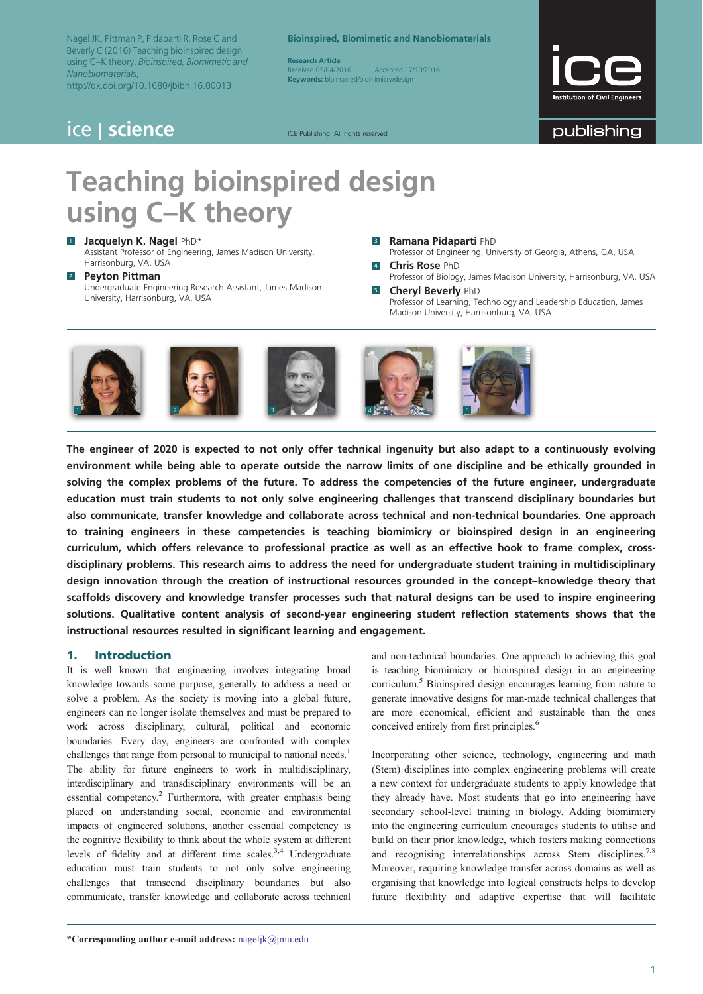Nagel JK, Pittman P, Pidaparti R, Rose C and Beverly C (2016) Teaching bioinspired design using C–K theory. Bioinspired, Biomimetic and Nanobiomaterials, http://dx.doi.org/10.1680/jbibn.16.00013

#### Bioinspired, Biomimetic and Nanobiomaterials

Research Article<br>Received 05/04/2016 Accepted 17/10/2016 Keywords: bioinspired/biomimicry/design

ICE Publishing: All rights reserved



publishing

# ice | science

Teaching bioinspired design using C–K theory

#### **1 Jacquelyn K. Nagel PhD\***

Assistant Professor of Engineering, James Madison University, Harrisonburg, VA, USA

#### 2 Peyton Pittman

Undergraduate Engineering Research Assistant, James Madison University, Harrisonburg, VA, USA

**3 Ramana Pidaparti PhD** 

Professor of Engineering, University of Georgia, Athens, GA, USA 4 **Chris Rose PhD** 

Professor of Biology, James Madison University, Harrisonburg, VA, USA **5 Cheryl Beverly PhD** 

Professor of Learning, Technology and Leadership Education, James Madison University, Harrisonburg, VA, USA



The engineer of 2020 is expected to not only offer technical ingenuity but also adapt to a continuously evolving environment while being able to operate outside the narrow limits of one discipline and be ethically grounded in solving the complex problems of the future. To address the competencies of the future engineer, undergraduate education must train students to not only solve engineering challenges that transcend disciplinary boundaries but also communicate, transfer knowledge and collaborate across technical and non-technical boundaries. One approach to training engineers in these competencies is teaching biomimicry or bioinspired design in an engineering curriculum, which offers relevance to professional practice as well as an effective hook to frame complex, crossdisciplinary problems. This research aims to address the need for undergraduate student training in multidisciplinary design innovation through the creation of instructional resources grounded in the concept–knowledge theory that scaffolds discovery and knowledge transfer processes such that natural designs can be used to inspire engineering solutions. Qualitative content analysis of second-year engineering student reflection statements shows that the instructional resources resulted in significant learning and engagement.

### 1. Introduction

It is well known that engineering involves integrating broad knowledge towards some purpose, generally to address a need or solve a problem. As the society is moving into a global future, engineers can no longer isolate themselves and must be prepared to work across disciplinary, cultural, political and economic boundaries. Every day, engineers are confronted with complex challenges that range from personal to municipal to national needs.<sup>[1](#page-7-0)</sup> The ability for future engineers to work in multidisciplinary, interdisciplinary and transdisciplinary environments will be an essential competency.<sup>2</sup> Furthermore, with greater emphasis being placed on understanding social, economic and environmental impacts of engineered solutions, another essential competency is the cognitive flexibility to think about the whole system at different levels of fidelity and at different time scales.<sup>[3](#page-7-0),[4](#page-7-0)</sup> Undergraduate education must train students to not only solve engineering challenges that transcend disciplinary boundaries but also communicate, transfer knowledge and collaborate across technical

and non-technical boundaries. One approach to achieving this goal is teaching biomimicry or bioinspired design in an engineering curriculum.<sup>5</sup> Bioinspired design encourages learning from nature to generate innovative designs for man-made technical challenges that are more economical, efficient and sustainable than the ones conceived entirely from first principles.<sup>6</sup>

Incorporating other science, technology, engineering and math (Stem) disciplines into complex engineering problems will create a new context for undergraduate students to apply knowledge that they already have. Most students that go into engineering have secondary school-level training in biology. Adding biomimicry into the engineering curriculum encourages students to utilise and build on their prior knowledge, which fosters making connections and recognising interrelationships across Stem disciplines.<sup>[7,8](#page-7-0)</sup> Moreover, requiring knowledge transfer across domains as well as organising that knowledge into logical constructs helps to develop future flexibility and adaptive expertise that will facilitate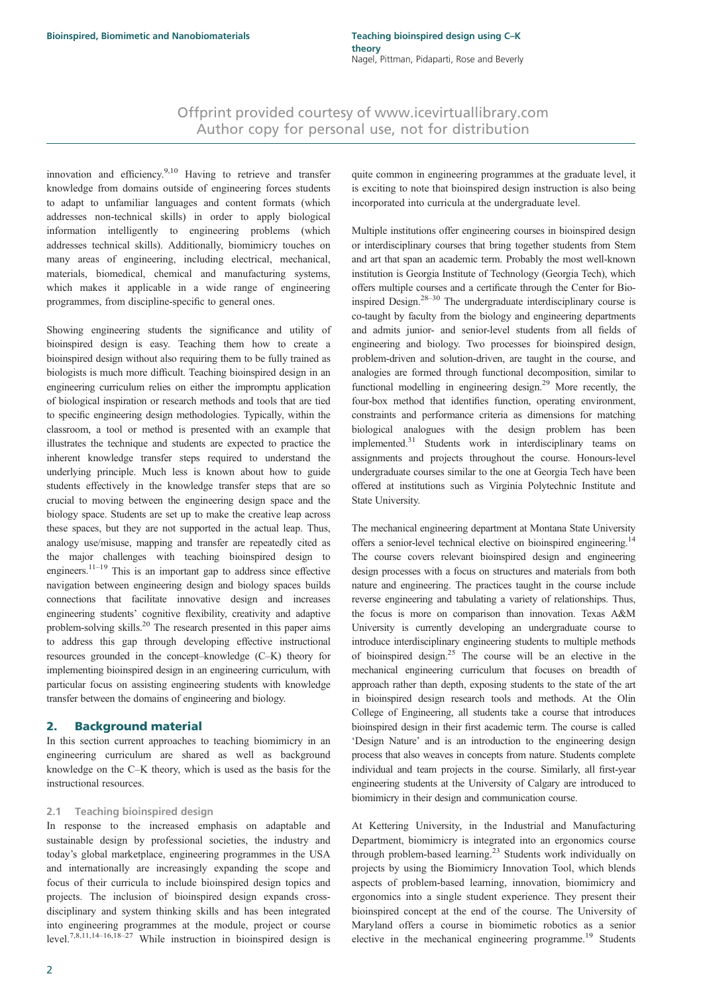innovation and efficiency.<sup>[9,10](#page-7-0)</sup> Having to retrieve and transfer knowledge from domains outside of engineering forces students to adapt to unfamiliar languages and content formats (which addresses non-technical skills) in order to apply biological information intelligently to engineering problems (which addresses technical skills). Additionally, biomimicry touches on many areas of engineering, including electrical, mechanical, materials, biomedical, chemical and manufacturing systems, which makes it applicable in a wide range of engineering programmes, from discipline-specific to general ones.

Showing engineering students the significance and utility of bioinspired design is easy. Teaching them how to create a bioinspired design without also requiring them to be fully trained as biologists is much more difficult. Teaching bioinspired design in an engineering curriculum relies on either the impromptu application of biological inspiration or research methods and tools that are tied to specific engineering design methodologies. Typically, within the classroom, a tool or method is presented with an example that illustrates the technique and students are expected to practice the inherent knowledge transfer steps required to understand the underlying principle. Much less is known about how to guide students effectively in the knowledge transfer steps that are so crucial to moving between the engineering design space and the biology space. Students are set up to make the creative leap across these spaces, but they are not supported in the actual leap. Thus, analogy use/misuse, mapping and transfer are repeatedly cited as the major challenges with teaching bioinspired design to engineers.<sup>11–[19](#page-8-0)</sup> This is an important gap to address since effective navigation between engineering design and biology spaces builds connections that facilitate innovative design and increases engineering students' cognitive flexibility, creativity and adaptive problem-solving skills[.20](#page-8-0) The research presented in this paper aims to address this gap through developing effective instructional resources grounded in the concept–knowledge (C–K) theory for implementing bioinspired design in an engineering curriculum, with particular focus on assisting engineering students with knowledge transfer between the domains of engineering and biology.

#### 2. Background material

In this section current approaches to teaching biomimicry in an engineering curriculum are shared as well as background knowledge on the C–K theory, which is used as the basis for the instructional resources.

#### 2.1 Teaching bioinspired design

In response to the increased emphasis on adaptable and sustainable design by professional societies, the industry and today's global marketplace, engineering programmes in the USA and internationally are increasingly expanding the scope and focus of their curricula to include bioinspired design topics and projects. The inclusion of bioinspired design expands crossdisciplinary and system thinking skills and has been integrated into engineering programmes at the module, project or course level.[7,8,11](#page-7-0)[,14](#page-8-0)–[16](#page-8-0),[18](#page-8-0)–[27](#page-8-0) While instruction in bioinspired design is quite common in engineering programmes at the graduate level, it is exciting to note that bioinspired design instruction is also being incorporated into curricula at the undergraduate level.

Multiple institutions offer engineering courses in bioinspired design or interdisciplinary courses that bring together students from Stem and art that span an academic term. Probably the most well-known institution is Georgia Institute of Technology (Georgia Tech), which offers multiple courses and a certificate through the Center for Bioinspired Design. $28-30$  $28-30$  The undergraduate interdisciplinary course is co-taught by faculty from the biology and engineering departments and admits junior- and senior-level students from all fields of engineering and biology. Two processes for bioinspired design, problem-driven and solution-driven, are taught in the course, and analogies are formed through functional decomposition, similar to functional modelling in engineering design.<sup>29</sup> More recently, the four-box method that identifies function, operating environment, constraints and performance criteria as dimensions for matching biological analogues with the design problem has been implemented.[31](#page-8-0) Students work in interdisciplinary teams on assignments and projects throughout the course. Honours-level undergraduate courses similar to the one at Georgia Tech have been offered at institutions such as Virginia Polytechnic Institute and State University.

The mechanical engineering department at Montana State University offers a senior-level technical elective on bioinspired engineering[.14](#page-8-0) The course covers relevant bioinspired design and engineering design processes with a focus on structures and materials from both nature and engineering. The practices taught in the course include reverse engineering and tabulating a variety of relationships. Thus, the focus is more on comparison than innovation. Texas A&M University is currently developing an undergraduate course to introduce interdisciplinary engineering students to multiple methods of bioinspired design.<sup>25</sup> The course will be an elective in the mechanical engineering curriculum that focuses on breadth of approach rather than depth, exposing students to the state of the art in bioinspired design research tools and methods. At the Olin College of Engineering, all students take a course that introduces bioinspired design in their first academic term. The course is called 'Design Nature' and is an introduction to the engineering design process that also weaves in concepts from nature. Students complete individual and team projects in the course. Similarly, all first-year engineering students at the University of Calgary are introduced to biomimicry in their design and communication course.

At Kettering University, in the Industrial and Manufacturing Department, biomimicry is integrated into an ergonomics course through problem-based learning.<sup>[23](#page-8-0)</sup> Students work individually on projects by using the Biomimicry Innovation Tool, which blends aspects of problem-based learning, innovation, biomimicry and ergonomics into a single student experience. They present their bioinspired concept at the end of the course. The University of Maryland offers a course in biomimetic robotics as a senior elective in the mechanical engineering programme.<sup>[19](#page-8-0)</sup> Students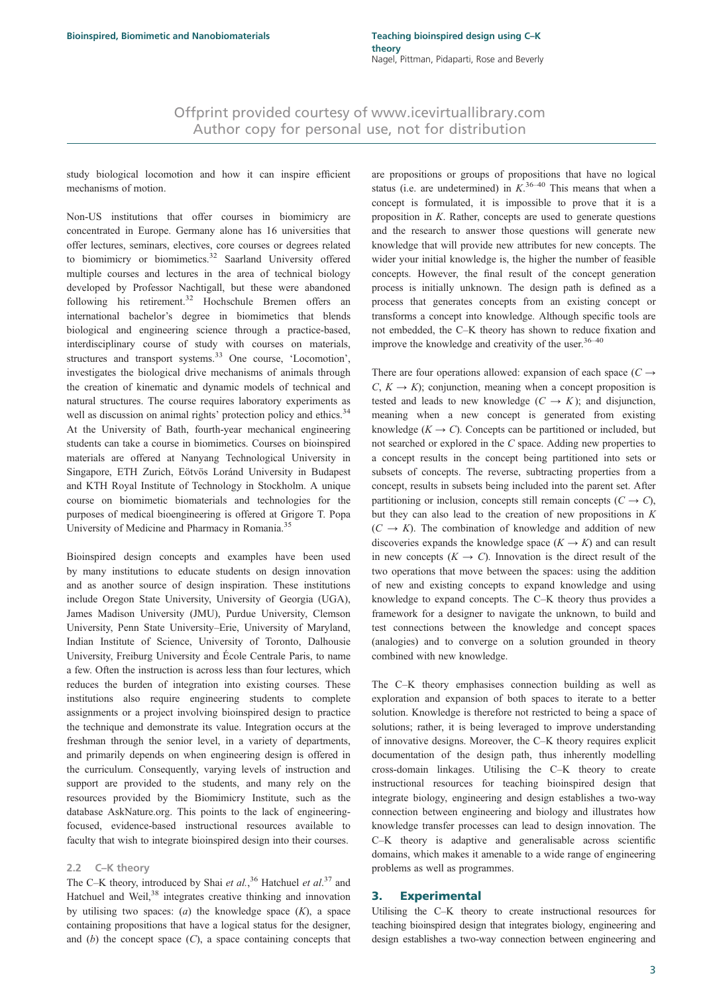study biological locomotion and how it can inspire efficient mechanisms of motion.

Non-US institutions that offer courses in biomimicry are concentrated in Europe. Germany alone has 16 universities that offer lectures, seminars, electives, core courses or degrees related to biomimicry or biomimetics.<sup>32</sup> Saarland University offered multiple courses and lectures in the area of technical biology developed by Professor Nachtigall, but these were abandoned following his retirement.<sup>32</sup> Hochschule Bremen offers an international bachelor's degree in biomimetics that blends biological and engineering science through a practice-based, interdisciplinary course of study with courses on materials, structures and transport systems.<sup>33</sup> One course, 'Locomotion', investigates the biological drive mechanisms of animals through the creation of kinematic and dynamic models of technical and natural structures. The course requires laboratory experiments as well as discussion on animal rights' protection policy and ethics.<sup>34</sup> At the University of Bath, fourth-year mechanical engineering students can take a course in biomimetics. Courses on bioinspired materials are offered at Nanyang Technological University in Singapore, ETH Zurich, Eötvös Loránd University in Budapest and KTH Royal Institute of Technology in Stockholm. A unique course on biomimetic biomaterials and technologies for the purposes of medical bioengineering is offered at Grigore T. Popa University of Medicine and Pharmacy in Romania[.35](#page-8-0)

Bioinspired design concepts and examples have been used by many institutions to educate students on design innovation and as another source of design inspiration. These institutions include Oregon State University, University of Georgia (UGA), James Madison University (JMU), Purdue University, Clemson University, Penn State University–Erie, University of Maryland, Indian Institute of Science, University of Toronto, Dalhousie University, Freiburg University and École Centrale Paris, to name a few. Often the instruction is across less than four lectures, which reduces the burden of integration into existing courses. These institutions also require engineering students to complete assignments or a project involving bioinspired design to practice the technique and demonstrate its value. Integration occurs at the freshman through the senior level, in a variety of departments, and primarily depends on when engineering design is offered in the curriculum. Consequently, varying levels of instruction and support are provided to the students, and many rely on the resources provided by the Biomimicry Institute, such as the database AskNature.org. This points to the lack of engineeringfocused, evidence-based instructional resources available to faculty that wish to integrate bioinspired design into their courses.

#### 2.2 C–K theory

The C–K theory, introduced by Shai et al.,<sup>[36](#page-8-0)</sup> Hatchuel et al.<sup>[37](#page-8-0)</sup> and Hatchuel and Weil,<sup>[38](#page-8-0)</sup> integrates creative thinking and innovation by utilising two spaces:  $(a)$  the knowledge space  $(K)$ , a space containing propositions that have a logical status for the designer, and  $(b)$  the concept space  $(C)$ , a space containing concepts that

are propositions or groups of propositions that have no logical status (i.e. are undetermined) in  $K^{36-40}$  $K^{36-40}$  $K^{36-40}$  $K^{36-40}$  $K^{36-40}$  This means that when a concept is formulated, it is impossible to prove that it is a proposition in K. Rather, concepts are used to generate questions and the research to answer those questions will generate new knowledge that will provide new attributes for new concepts. The wider your initial knowledge is, the higher the number of feasible concepts. However, the final result of the concept generation process is initially unknown. The design path is defined as a process that generates concepts from an existing concept or transforms a concept into knowledge. Although specific tools are not embedded, the C–K theory has shown to reduce fixation and improve the knowledge and creativity of the user.<sup>[36](#page-8-0)-[40](#page-9-0)</sup>

There are four operations allowed: expansion of each space ( $C \rightarrow$  $C, K \rightarrow K$ ; conjunction, meaning when a concept proposition is tested and leads to new knowledge  $(C \rightarrow K)$ ; and disjunction, meaning when a new concept is generated from existing knowledge  $(K \to C)$ . Concepts can be partitioned or included, but not searched or explored in the C space. Adding new properties to a concept results in the concept being partitioned into sets or subsets of concepts. The reverse, subtracting properties from a concept, results in subsets being included into the parent set. After partitioning or inclusion, concepts still remain concepts  $(C \rightarrow C)$ , but they can also lead to the creation of new propositions in  $K$  $(C \rightarrow K)$ . The combination of knowledge and addition of new discoveries expands the knowledge space  $(K \to K)$  and can result in new concepts  $(K \to C)$ . Innovation is the direct result of the two operations that move between the spaces: using the addition of new and existing concepts to expand knowledge and using knowledge to expand concepts. The C–K theory thus provides a framework for a designer to navigate the unknown, to build and test connections between the knowledge and concept spaces (analogies) and to converge on a solution grounded in theory combined with new knowledge.

The C–K theory emphasises connection building as well as exploration and expansion of both spaces to iterate to a better solution. Knowledge is therefore not restricted to being a space of solutions; rather, it is being leveraged to improve understanding of innovative designs. Moreover, the C–K theory requires explicit documentation of the design path, thus inherently modelling cross-domain linkages. Utilising the C–K theory to create instructional resources for teaching bioinspired design that integrate biology, engineering and design establishes a two-way connection between engineering and biology and illustrates how knowledge transfer processes can lead to design innovation. The C–K theory is adaptive and generalisable across scientific domains, which makes it amenable to a wide range of engineering problems as well as programmes.

#### 3. Experimental

Utilising the C–K theory to create instructional resources for teaching bioinspired design that integrates biology, engineering and design establishes a two-way connection between engineering and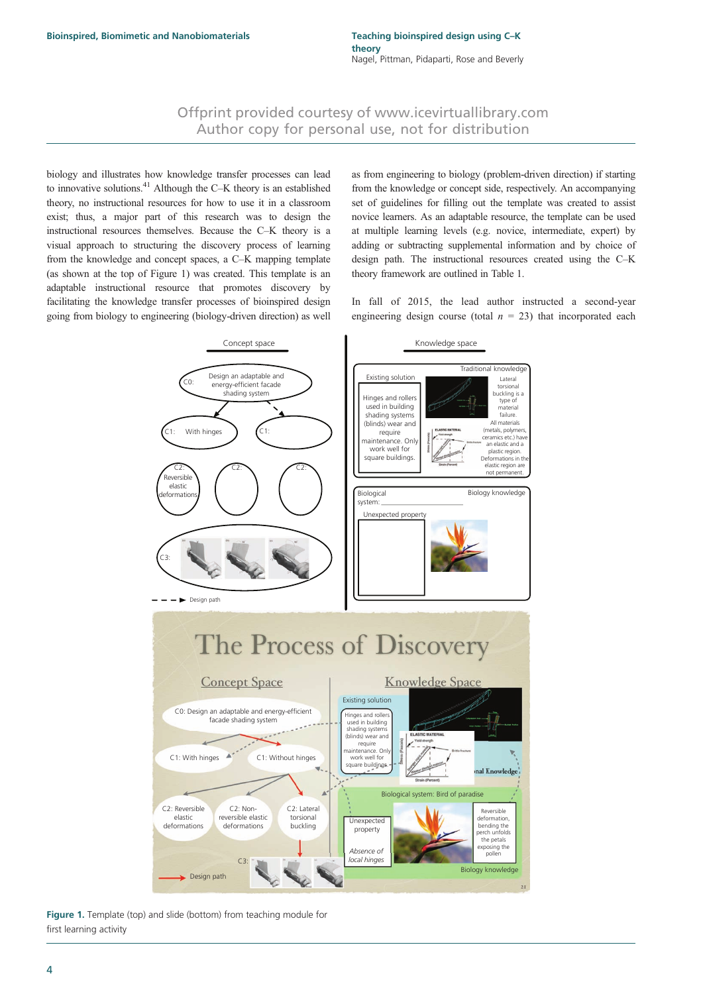<span id="page-3-0"></span>biology and illustrates how knowledge transfer processes can lead to innovative solutions. $41$  Although the C–K theory is an established theory, no instructional resources for how to use it in a classroom exist; thus, a major part of this research was to design the instructional resources themselves. Because the C–K theory is a visual approach to structuring the discovery process of learning from the knowledge and concept spaces, a C–K mapping template (as shown at the top of Figure 1) was created. This template is an adaptable instructional resource that promotes discovery by facilitating the knowledge transfer processes of bioinspired design going from biology to engineering (biology-driven direction) as well as from engineering to biology (problem-driven direction) if starting from the knowledge or concept side, respectively. An accompanying set of guidelines for filling out the template was created to assist novice learners. As an adaptable resource, the template can be used at multiple learning levels (e.g. novice, intermediate, expert) by adding or subtracting supplemental information and by choice of design path. The instructional resources created using the C–K theory framework are outlined in [Table 1](#page-4-0).

In fall of 2015, the lead author instructed a second-year engineering design course (total  $n = 23$ ) that incorporated each



**Figure 1.** Template (top) and slide (bottom) from teaching module for first learning activity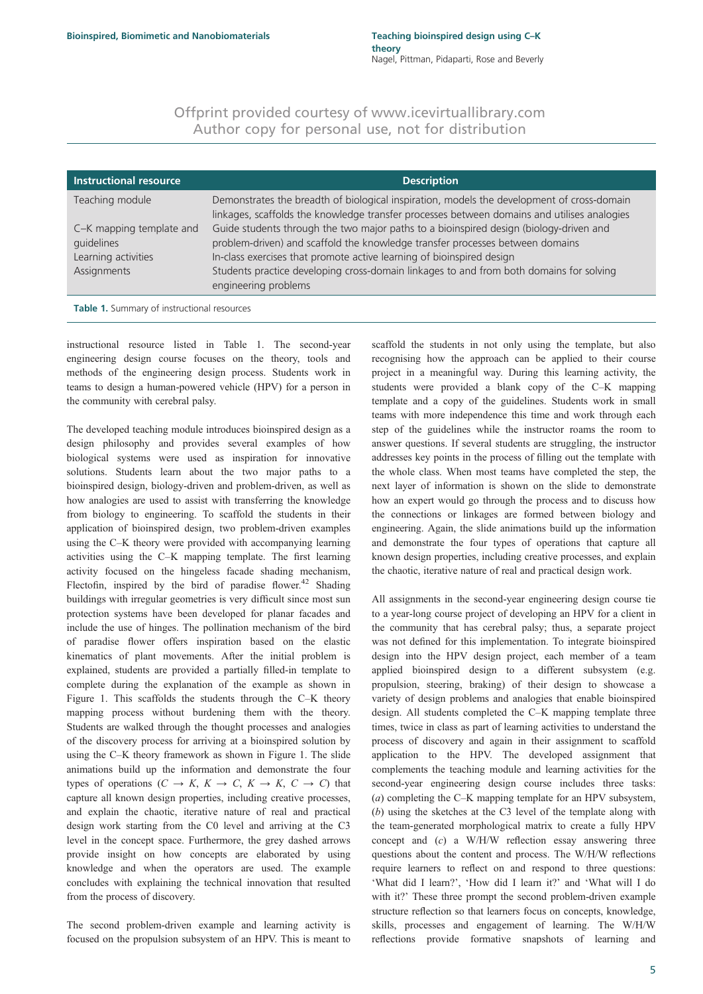<span id="page-4-0"></span>

| <b>Instructional resource</b> | <b>Description</b>                                                                          |
|-------------------------------|---------------------------------------------------------------------------------------------|
|                               |                                                                                             |
| Teaching module               | Demonstrates the breadth of biological inspiration, models the development of cross-domain  |
|                               | linkages, scaffolds the knowledge transfer processes between domains and utilises analogies |
| C-K mapping template and      | Guide students through the two major paths to a bioinspired design (biology-driven and      |
| quidelines                    | problem-driven) and scaffold the knowledge transfer processes between domains               |
| Learning activities           | In-class exercises that promote active learning of bioinspired design                       |
| Assignments                   | Students practice developing cross-domain linkages to and from both domains for solving     |
|                               | engineering problems                                                                        |
|                               |                                                                                             |

Table 1. Summary of instructional resources

instructional resource listed in Table 1. The second-year engineering design course focuses on the theory, tools and methods of the engineering design process. Students work in teams to design a human-powered vehicle (HPV) for a person in the community with cerebral palsy.

The developed teaching module introduces bioinspired design as a design philosophy and provides several examples of how biological systems were used as inspiration for innovative solutions. Students learn about the two major paths to a bioinspired design, biology-driven and problem-driven, as well as how analogies are used to assist with transferring the knowledge from biology to engineering. To scaffold the students in their application of bioinspired design, two problem-driven examples using the C–K theory were provided with accompanying learning activities using the C–K mapping template. The first learning activity focused on the hingeless facade shading mechanism, Flectofin, inspired by the bird of paradise flower.<sup>[42](#page-9-0)</sup> Shading buildings with irregular geometries is very difficult since most sun protection systems have been developed for planar facades and include the use of hinges. The pollination mechanism of the bird of paradise flower offers inspiration based on the elastic kinematics of plant movements. After the initial problem is explained, students are provided a partially filled-in template to complete during the explanation of the example as shown in [Figure 1](#page-3-0). This scaffolds the students through the C–K theory mapping process without burdening them with the theory. Students are walked through the thought processes and analogies of the discovery process for arriving at a bioinspired solution by using the C–K theory framework as shown in [Figure 1](#page-3-0). The slide animations build up the information and demonstrate the four types of operations  $(C \to K, K \to C, K \to K, C \to C)$  that capture all known design properties, including creative processes, and explain the chaotic, iterative nature of real and practical design work starting from the C0 level and arriving at the C3 level in the concept space. Furthermore, the grey dashed arrows provide insight on how concepts are elaborated by using knowledge and when the operators are used. The example concludes with explaining the technical innovation that resulted from the process of discovery.

The second problem-driven example and learning activity is focused on the propulsion subsystem of an HPV. This is meant to

scaffold the students in not only using the template, but also recognising how the approach can be applied to their course project in a meaningful way. During this learning activity, the students were provided a blank copy of the C–K mapping template and a copy of the guidelines. Students work in small teams with more independence this time and work through each step of the guidelines while the instructor roams the room to answer questions. If several students are struggling, the instructor addresses key points in the process of filling out the template with the whole class. When most teams have completed the step, the next layer of information is shown on the slide to demonstrate how an expert would go through the process and to discuss how the connections or linkages are formed between biology and engineering. Again, the slide animations build up the information and demonstrate the four types of operations that capture all known design properties, including creative processes, and explain the chaotic, iterative nature of real and practical design work.

All assignments in the second-year engineering design course tie to a year-long course project of developing an HPV for a client in the community that has cerebral palsy; thus, a separate project was not defined for this implementation. To integrate bioinspired design into the HPV design project, each member of a team applied bioinspired design to a different subsystem (e.g. propulsion, steering, braking) of their design to showcase a variety of design problems and analogies that enable bioinspired design. All students completed the C–K mapping template three times, twice in class as part of learning activities to understand the process of discovery and again in their assignment to scaffold application to the HPV. The developed assignment that complements the teaching module and learning activities for the second-year engineering design course includes three tasks: (a) completing the C–K mapping template for an HPV subsystem, (b) using the sketches at the C3 level of the template along with the team-generated morphological matrix to create a fully HPV concept and  $(c)$  a W/H/W reflection essay answering three questions about the content and process. The W/H/W reflections require learners to reflect on and respond to three questions: 'What did I learn?', 'How did I learn it?' and 'What will I do with it?' These three prompt the second problem-driven example structure reflection so that learners focus on concepts, knowledge, skills, processes and engagement of learning. The W/H/W reflections provide formative snapshots of learning and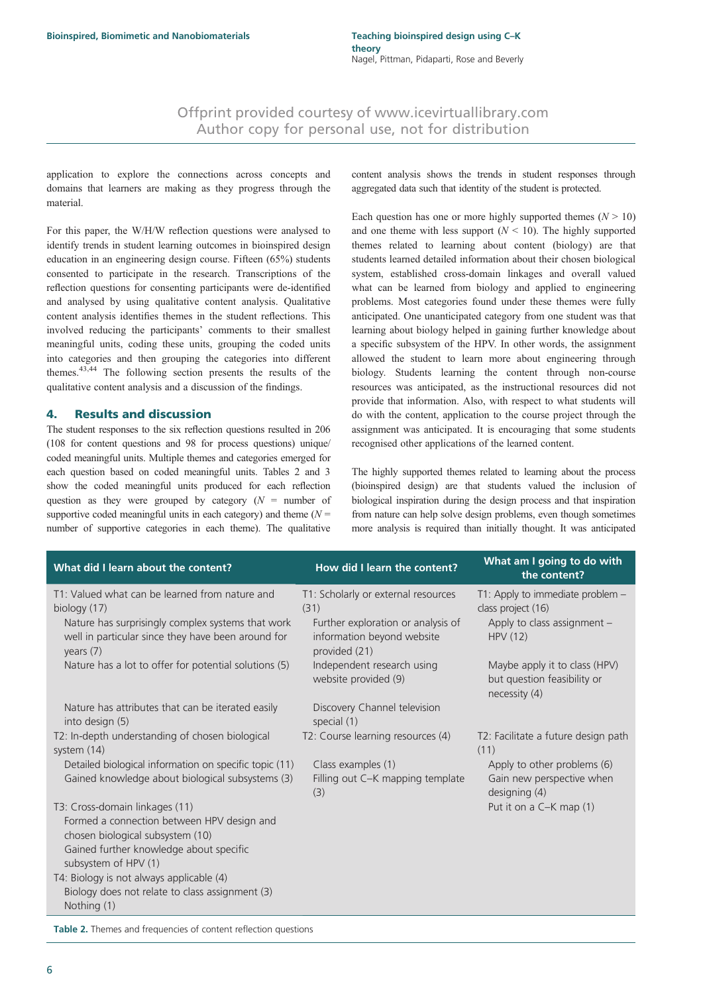<span id="page-5-0"></span>application to explore the connections across concepts and domains that learners are making as they progress through the material.

For this paper, the W/H/W reflection questions were analysed to identify trends in student learning outcomes in bioinspired design education in an engineering design course. Fifteen (65%) students consented to participate in the research. Transcriptions of the reflection questions for consenting participants were de-identified and analysed by using qualitative content analysis. Qualitative content analysis identifies themes in the student reflections. This involved reducing the participants' comments to their smallest meaningful units, coding these units, grouping the coded units into categories and then grouping the categories into different themes. $43,44$  The following section presents the results of the qualitative content analysis and a discussion of the findings.

#### 4. Results and discussion

The student responses to the six reflection questions resulted in 206 (108 for content questions and 98 for process questions) unique/ coded meaningful units. Multiple themes and categories emerged for each question based on coded meaningful units. Tables 2 and [3](#page-6-0) show the coded meaningful units produced for each reflection question as they were grouped by category  $(N =$  number of supportive coded meaningful units in each category) and theme  $(N =$ number of supportive categories in each theme). The qualitative content analysis shows the trends in student responses through aggregated data such that identity of the student is protected.

Each question has one or more highly supported themes  $(N > 10)$ and one theme with less support  $(N < 10)$ . The highly supported themes related to learning about content (biology) are that students learned detailed information about their chosen biological system, established cross-domain linkages and overall valued what can be learned from biology and applied to engineering problems. Most categories found under these themes were fully anticipated. One unanticipated category from one student was that learning about biology helped in gaining further knowledge about a specific subsystem of the HPV. In other words, the assignment allowed the student to learn more about engineering through biology. Students learning the content through non-course resources was anticipated, as the instructional resources did not provide that information. Also, with respect to what students will do with the content, application to the course project through the assignment was anticipated. It is encouraging that some students recognised other applications of the learned content.

The highly supported themes related to learning about the process (bioinspired design) are that students valued the inclusion of biological inspiration during the design process and that inspiration from nature can help solve design problems, even though sometimes more analysis is required than initially thought. It was anticipated

| What did I learn about the content?                                                                                                                                                      | How did I learn the content?                                                                                                     | What am I going to do with<br>the content?                                                       |
|------------------------------------------------------------------------------------------------------------------------------------------------------------------------------------------|----------------------------------------------------------------------------------------------------------------------------------|--------------------------------------------------------------------------------------------------|
| T1: Valued what can be learned from nature and<br>biology (17)<br>Nature has surprisingly complex systems that work<br>well in particular since they have been around for<br>years $(7)$ | T1: Scholarly or external resources<br>(31)<br>Further exploration or analysis of<br>information beyond website<br>provided (21) | T1: Apply to immediate problem -<br>class project (16)<br>Apply to class assignment -<br>HPV(12) |
| Nature has a lot to offer for potential solutions (5)                                                                                                                                    | Independent research using<br>website provided (9)                                                                               | Maybe apply it to class (HPV)<br>but question feasibility or<br>necessity (4)                    |
| Nature has attributes that can be iterated easily<br>into design (5)                                                                                                                     | Discovery Channel television<br>special (1)                                                                                      |                                                                                                  |
| T2: In-depth understanding of chosen biological<br>system (14)                                                                                                                           | T2: Course learning resources (4)                                                                                                | T2: Facilitate a future design path<br>(11)                                                      |
| Detailed biological information on specific topic (11)<br>Gained knowledge about biological subsystems (3)                                                                               | Class examples (1)<br>Filling out C-K mapping template<br>(3)                                                                    | Apply to other problems (6)<br>Gain new perspective when<br>designing (4)                        |
| T3: Cross-domain linkages (11)<br>Formed a connection between HPV design and<br>chosen biological subsystem (10)<br>Gained further knowledge about specific<br>subsystem of HPV (1)      |                                                                                                                                  | Put it on a C-K map (1)                                                                          |
| T4: Biology is not always applicable (4)<br>Biology does not relate to class assignment (3)<br>Nothing (1)                                                                               |                                                                                                                                  |                                                                                                  |

Table 2. Themes and frequencies of content reflection questions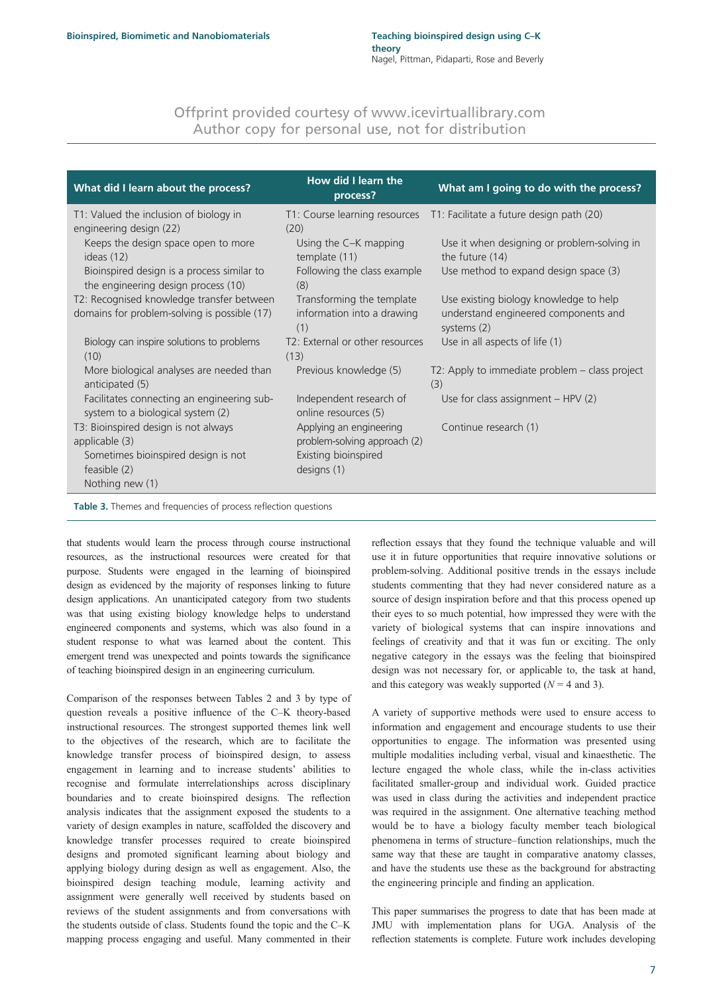<span id="page-6-0"></span>

| What did I learn about the process?                                                       | How did I learn the<br>process?                                | What am I going to do with the process?                                                         |
|-------------------------------------------------------------------------------------------|----------------------------------------------------------------|-------------------------------------------------------------------------------------------------|
| T1: Valued the inclusion of biology in<br>engineering design (22)                         | (20)                                                           | T1: Course learning resources T1: Facilitate a future design path (20)                          |
| Keeps the design space open to more<br>ideas $(12)$                                       | Using the C-K mapping<br>template (11)                         | Use it when designing or problem-solving in<br>the future $(14)$                                |
| Bioinspired design is a process similar to<br>the engineering design process (10)         | Following the class example<br>(8)                             | Use method to expand design space (3)                                                           |
| T2: Recognised knowledge transfer between<br>domains for problem-solving is possible (17) | Transforming the template<br>information into a drawing<br>(1) | Use existing biology knowledge to help<br>understand engineered components and<br>systems $(2)$ |
| Biology can inspire solutions to problems<br>(10)                                         | T2: External or other resources<br>(13)                        | Use in all aspects of life (1)                                                                  |
| More biological analyses are needed than<br>anticipated (5)                               | Previous knowledge (5)                                         | T2: Apply to immediate problem – class project<br>(3)                                           |
| Facilitates connecting an engineering sub-<br>system to a biological system (2)           | Independent research of<br>online resources (5)                | Use for class assignment $-$ HPV (2)                                                            |
| T3: Bioinspired design is not always<br>applicable (3)                                    | Applying an engineering<br>problem-solving approach (2)        | Continue research (1)                                                                           |
| Sometimes bioinspired design is not<br>feasible (2)                                       | Existing bioinspired<br>designs (1)                            |                                                                                                 |
| Nothing new (1)                                                                           |                                                                |                                                                                                 |

Table 3. Themes and frequencies of process reflection questions

that students would learn the process through course instructional resources, as the instructional resources were created for that purpose. Students were engaged in the learning of bioinspired design as evidenced by the majority of responses linking to future design applications. An unanticipated category from two students was that using existing biology knowledge helps to understand engineered components and systems, which was also found in a student response to what was learned about the content. This emergent trend was unexpected and points towards the significance of teaching bioinspired design in an engineering curriculum.

Comparison of the responses between [Tables 2](#page-5-0) and 3 by type of question reveals a positive influence of the C–K theory-based instructional resources. The strongest supported themes link well to the objectives of the research, which are to facilitate the knowledge transfer process of bioinspired design, to assess engagement in learning and to increase students' abilities to recognise and formulate interrelationships across disciplinary boundaries and to create bioinspired designs. The reflection analysis indicates that the assignment exposed the students to a variety of design examples in nature, scaffolded the discovery and knowledge transfer processes required to create bioinspired designs and promoted significant learning about biology and applying biology during design as well as engagement. Also, the bioinspired design teaching module, learning activity and assignment were generally well received by students based on reviews of the student assignments and from conversations with the students outside of class. Students found the topic and the C–K mapping process engaging and useful. Many commented in their reflection essays that they found the technique valuable and will use it in future opportunities that require innovative solutions or problem-solving. Additional positive trends in the essays include students commenting that they had never considered nature as a source of design inspiration before and that this process opened up their eyes to so much potential, how impressed they were with the variety of biological systems that can inspire innovations and feelings of creativity and that it was fun or exciting. The only negative category in the essays was the feeling that bioinspired design was not necessary for, or applicable to, the task at hand, and this category was weakly supported  $(N = 4$  and 3).

A variety of supportive methods were used to ensure access to information and engagement and encourage students to use their opportunities to engage. The information was presented using multiple modalities including verbal, visual and kinaesthetic. The lecture engaged the whole class, while the in-class activities facilitated smaller-group and individual work. Guided practice was used in class during the activities and independent practice was required in the assignment. One alternative teaching method would be to have a biology faculty member teach biological phenomena in terms of structure–function relationships, much the same way that these are taught in comparative anatomy classes, and have the students use these as the background for abstracting the engineering principle and finding an application.

This paper summarises the progress to date that has been made at JMU with implementation plans for UGA. Analysis of the reflection statements is complete. Future work includes developing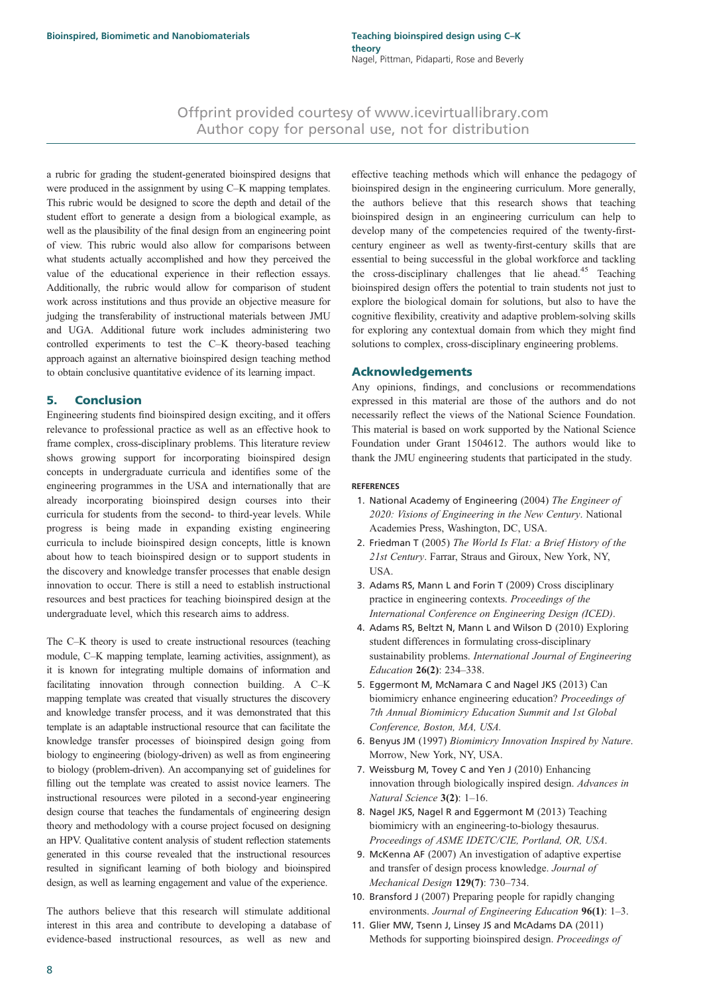<span id="page-7-0"></span>a rubric for grading the student-generated bioinspired designs that were produced in the assignment by using C–K mapping templates. This rubric would be designed to score the depth and detail of the student effort to generate a design from a biological example, as well as the plausibility of the final design from an engineering point of view. This rubric would also allow for comparisons between what students actually accomplished and how they perceived the value of the educational experience in their reflection essays. Additionally, the rubric would allow for comparison of student work across institutions and thus provide an objective measure for judging the transferability of instructional materials between JMU and UGA. Additional future work includes administering two controlled experiments to test the C–K theory-based teaching approach against an alternative bioinspired design teaching method to obtain conclusive quantitative evidence of its learning impact.

### 5. Conclusion

Engineering students find bioinspired design exciting, and it offers relevance to professional practice as well as an effective hook to frame complex, cross-disciplinary problems. This literature review shows growing support for incorporating bioinspired design concepts in undergraduate curricula and identifies some of the engineering programmes in the USA and internationally that are already incorporating bioinspired design courses into their curricula for students from the second- to third-year levels. While progress is being made in expanding existing engineering curricula to include bioinspired design concepts, little is known about how to teach bioinspired design or to support students in the discovery and knowledge transfer processes that enable design innovation to occur. There is still a need to establish instructional resources and best practices for teaching bioinspired design at the undergraduate level, which this research aims to address.

The C–K theory is used to create instructional resources (teaching module, C–K mapping template, learning activities, assignment), as it is known for integrating multiple domains of information and facilitating innovation through connection building. A C–K mapping template was created that visually structures the discovery and knowledge transfer process, and it was demonstrated that this template is an adaptable instructional resource that can facilitate the knowledge transfer processes of bioinspired design going from biology to engineering (biology-driven) as well as from engineering to biology (problem-driven). An accompanying set of guidelines for filling out the template was created to assist novice learners. The instructional resources were piloted in a second-year engineering design course that teaches the fundamentals of engineering design theory and methodology with a course project focused on designing an HPV. Qualitative content analysis of student reflection statements generated in this course revealed that the instructional resources resulted in significant learning of both biology and bioinspired design, as well as learning engagement and value of the experience.

The authors believe that this research will stimulate additional interest in this area and contribute to developing a database of evidence-based instructional resources, as well as new and effective teaching methods which will enhance the pedagogy of bioinspired design in the engineering curriculum. More generally, the authors believe that this research shows that teaching bioinspired design in an engineering curriculum can help to develop many of the competencies required of the twenty-firstcentury engineer as well as twenty-first-century skills that are essential to being successful in the global workforce and tackling the cross-disciplinary challenges that lie ahead. $45$  Teaching bioinspired design offers the potential to train students not just to explore the biological domain for solutions, but also to have the cognitive flexibility, creativity and adaptive problem-solving skills for exploring any contextual domain from which they might find solutions to complex, cross-disciplinary engineering problems.

#### Acknowledgements

Any opinions, findings, and conclusions or recommendations expressed in this material are those of the authors and do not necessarily reflect the views of the National Science Foundation. This material is based on work supported by the National Science Foundation under Grant 1504612. The authors would like to thank the JMU engineering students that participated in the study.

#### **REFERENCES**

- 1. National Academy of Engineering  $(2004)$  The Engineer of 2020: Visions of Engineering in the New Century. National Academies Press, Washington, DC, USA.
- 2. Friedman T (2005) The World Is Flat: a Brief History of the 21st Century. Farrar, Straus and Giroux, New York, NY, USA.
- 3. Adams RS, Mann L and Forin T (2009) Cross disciplinary practice in engineering contexts. Proceedings of the International Conference on Engineering Design (ICED).
- 4. Adams RS, Beltzt N, Mann L and Wilson D (2010) Exploring student differences in formulating cross-disciplinary sustainability problems. International Journal of Engineering Education 26(2): 234–338.
- 5. Eggermont M, McNamara C and Nagel JKS (2013) Can biomimicry enhance engineering education? Proceedings of 7th Annual Biomimicry Education Summit and 1st Global Conference, Boston, MA, USA.
- 6. Benyus JM (1997) Biomimicry Innovation Inspired by Nature. Morrow, New York, NY, USA.
- 7. Weissburg M, Tovey C and Yen J (2010) Enhancing innovation through biologically inspired design. Advances in Natural Science 3(2): 1–16.
- 8. Nagel JKS, Nagel R and Eggermont M (2013) Teaching biomimicry with an engineering-to-biology thesaurus. Proceedings of ASME IDETC/CIE, Portland, OR, USA.
- 9. McKenna AF (2007) An investigation of adaptive expertise and transfer of design process knowledge. Journal of Mechanical Design 129(7): 730–734.
- 10. Bransford J (2007) Preparing people for rapidly changing environments. Journal of Engineering Education 96(1): 1–3.
- 11. Glier MW, Tsenn J, Linsey JS and McAdams DA (2011) Methods for supporting bioinspired design. Proceedings of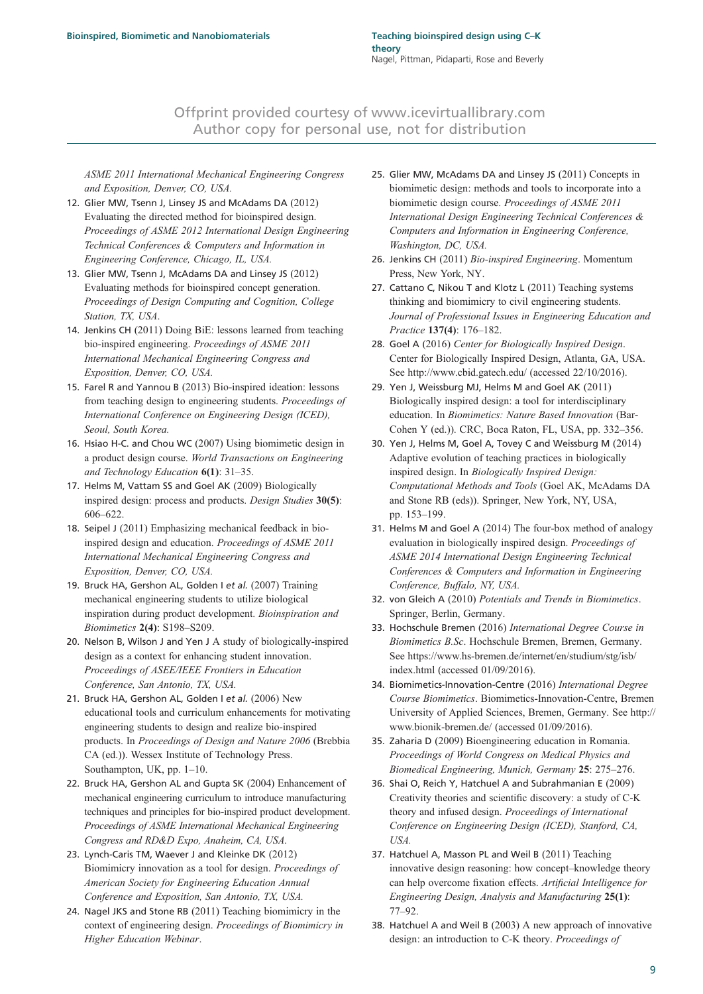<span id="page-8-0"></span>ASME 2011 International Mechanical Engineering Congress and Exposition, Denver, CO, USA.

- 12. Glier MW, Tsenn J, Linsey JS and McAdams DA (2012) Evaluating the directed method for bioinspired design. Proceedings of ASME 2012 International Design Engineering Technical Conferences & Computers and Information in Engineering Conference, Chicago, IL, USA.
- 13. Glier MW, Tsenn J, McAdams DA and Linsey JS (2012) Evaluating methods for bioinspired concept generation. Proceedings of Design Computing and Cognition, College Station, TX, USA.
- 14. Jenkins CH (2011) Doing BiE: lessons learned from teaching bio-inspired engineering. Proceedings of ASME 2011 International Mechanical Engineering Congress and Exposition, Denver, CO, USA.
- 15. Farel R and Yannou B (2013) Bio-inspired ideation: lessons from teaching design to engineering students. Proceedings of International Conference on Engineering Design (ICED), Seoul, South Korea.
- 16. Hsiao H-C. and Chou WC (2007) Using biomimetic design in a product design course. World Transactions on Engineering and Technology Education 6(1): 31–35.
- 17. Helms M, Vattam SS and Goel AK (2009) Biologically inspired design: process and products. Design Studies 30(5): 606–622.
- 18. Seipel J (2011) Emphasizing mechanical feedback in bioinspired design and education. Proceedings of ASME 2011 International Mechanical Engineering Congress and Exposition, Denver, CO, USA.
- 19. Bruck HA, Gershon AL, Golden I et al. (2007) Training mechanical engineering students to utilize biological inspiration during product development. Bioinspiration and Biomimetics 2(4): S198–S209.
- 20. Nelson B, Wilson J and Yen J A study of biologically-inspired design as a context for enhancing student innovation. Proceedings of ASEE/IEEE Frontiers in Education Conference, San Antonio, TX, USA.
- 21. Bruck HA, Gershon AL, Golden I et al. (2006) New educational tools and curriculum enhancements for motivating engineering students to design and realize bio-inspired products. In Proceedings of Design and Nature 2006 (Brebbia CA (ed.)). Wessex Institute of Technology Press. Southampton, UK, pp. 1–10.
- 22. Bruck HA, Gershon AL and Gupta SK (2004) Enhancement of mechanical engineering curriculum to introduce manufacturing techniques and principles for bio-inspired product development. Proceedings of ASME International Mechanical Engineering Congress and RD&D Expo, Anaheim, CA, USA.
- 23. Lynch-Caris TM, Waever J and Kleinke DK (2012) Biomimicry innovation as a tool for design. Proceedings of American Society for Engineering Education Annual Conference and Exposition, San Antonio, TX, USA.
- 24. Nagel JKS and Stone RB (2011) Teaching biomimicry in the context of engineering design. Proceedings of Biomimicry in Higher Education Webinar.
- 25. Glier MW, McAdams DA and Linsey JS (2011) Concepts in biomimetic design: methods and tools to incorporate into a biomimetic design course. Proceedings of ASME 2011 International Design Engineering Technical Conferences & Computers and Information in Engineering Conference, Washington, DC, USA.
- 26. Jenkins CH (2011) Bio-inspired Engineering. Momentum Press, New York, NY.
- 27. Cattano C, Nikou T and Klotz L (2011) Teaching systems thinking and biomimicry to civil engineering students. Journal of Professional Issues in Engineering Education and Practice 137(4): 176–182.
- 28. Goel A (2016) Center for Biologically Inspired Design. Center for Biologically Inspired Design, Atlanta, GA, USA. See<http://www.cbid.gatech.edu/> (accessed 22/10/2016).
- 29. Yen J, Weissburg MJ, Helms M and Goel AK (2011) Biologically inspired design: a tool for interdisciplinary education. In Biomimetics: Nature Based Innovation (Bar-Cohen Y (ed.)). CRC, Boca Raton, FL, USA, pp. 332–356.
- 30. Yen J, Helms M, Goel A, Tovey C and Weissburg M (2014) Adaptive evolution of teaching practices in biologically inspired design. In Biologically Inspired Design: Computational Methods and Tools (Goel AK, McAdams DA and Stone RB (eds)). Springer, New York, NY, USA, pp. 153–199.
- 31. Helms M and Goel A (2014) The four-box method of analogy evaluation in biologically inspired design. Proceedings of ASME 2014 International Design Engineering Technical Conferences & Computers and Information in Engineering Conference, Buffalo, NY, USA.
- 32. von Gleich A (2010) Potentials and Trends in Biomimetics. Springer, Berlin, Germany.
- 33. Hochschule Bremen (2016) International Degree Course in Biomimetics B.Sc. Hochschule Bremen, Bremen, Germany. See [https://www.hs-bremen.de/internet/en/studium/stg/isb/](https://www.hs-bremen.de/internet/en/studium/stg/isb/index.html) [index.html](https://www.hs-bremen.de/internet/en/studium/stg/isb/index.html) (accessed 01/09/2016).
- 34. Biomimetics-Innovation-Centre (2016) International Degree Course Biomimetics. Biomimetics-Innovation-Centre, Bremen University of Applied Sciences, Bremen, Germany. See [http://](http://www.bionik-bremen.de/) [www.bionik-bremen.de/](http://www.bionik-bremen.de/) (accessed 01/09/2016).
- 35. Zaharia D (2009) Bioengineering education in Romania. Proceedings of World Congress on Medical Physics and Biomedical Engineering, Munich, Germany 25: 275–276.
- 36. Shai O, Reich Y, Hatchuel A and Subrahmanian E (2009) Creativity theories and scientific discovery: a study of C-K theory and infused design. Proceedings of International Conference on Engineering Design (ICED), Stanford, CA, USA.
- 37. Hatchuel A, Masson PL and Weil B (2011) Teaching innovative design reasoning: how concept–knowledge theory can help overcome fixation effects. Artificial Intelligence for Engineering Design, Analysis and Manufacturing 25(1): 77–92.
- 38. Hatchuel A and Weil B (2003) A new approach of innovative design: an introduction to C-K theory. Proceedings of